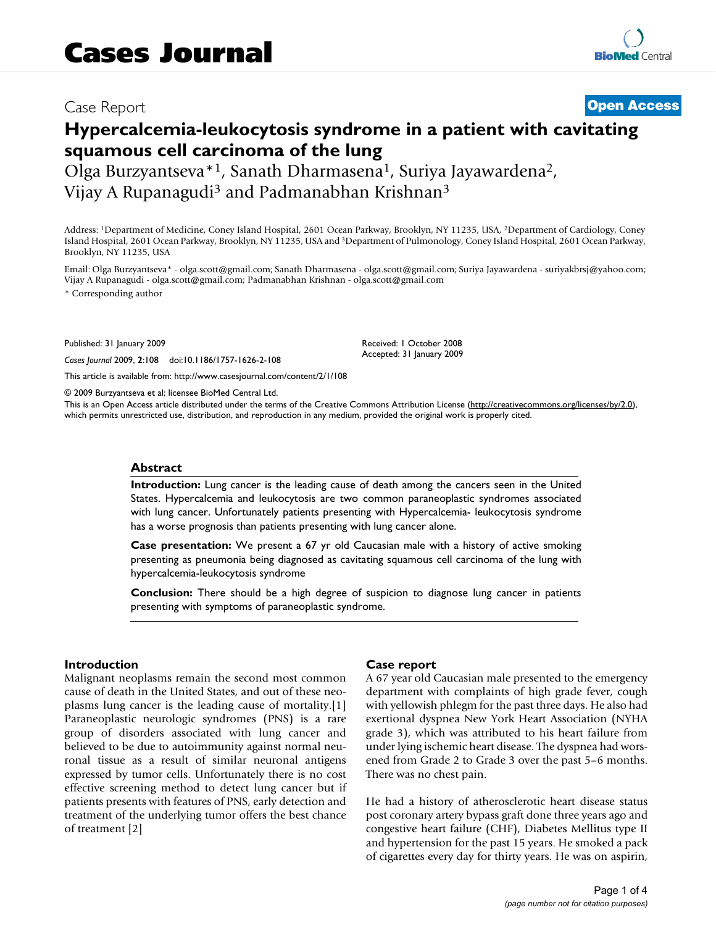## Case Report **[Open Access](http://www.biomedcentral.com/info/about/charter/)**

## **Hypercalcemia-leukocytosis syndrome in a patient with cavitating squamous cell carcinoma of the lung**

Olga Burzyantseva\*1, Sanath Dharmasena1, Suriya Jayawardena2, Vijay A Rupanagudi<sup>3</sup> and Padmanabhan Krishnan<sup>3</sup>

Address: 1Department of Medicine, Coney Island Hospital, 2601 Ocean Parkway, Brooklyn, NY 11235, USA, 2Department of Cardiology, Coney Island Hospital, 2601 Ocean Parkway, Brooklyn, NY 11235, USA and 3Department of Pulmonology, Coney Island Hospital, 2601 Ocean Parkway, Brooklyn, NY 11235, USA

Email: Olga Burzyantseva\* - olga.scott@gmail.com; Sanath Dharmasena - olga.scott@gmail.com; Suriya Jayawardena - suriyakbrsj@yahoo.com; Vijay A Rupanagudi - olga.scott@gmail.com; Padmanabhan Krishnan - olga.scott@gmail.com

> Received: 1 October 2008 Accepted: 31 January 2009

\* Corresponding author

Published: 31 January 2009

*Cases Journal* 2009, **2**:108 doi:10.1186/1757-1626-2-108

[This article is available from: http://www.casesjournal.com/content/2/1/108](http://www.casesjournal.com/content/2/1/108)

© 2009 Burzyantseva et al; licensee BioMed Central Ltd.

This is an Open Access article distributed under the terms of the Creative Commons Attribution License [\(http://creativecommons.org/licenses/by/2.0\)](http://creativecommons.org/licenses/by/2.0), which permits unrestricted use, distribution, and reproduction in any medium, provided the original work is properly cited.

#### **Abstract**

**Introduction:** Lung cancer is the leading cause of death among the cancers seen in the United States. Hypercalcemia and leukocytosis are two common paraneoplastic syndromes associated with lung cancer. Unfortunately patients presenting with Hypercalcemia- leukocytosis syndrome has a worse prognosis than patients presenting with lung cancer alone.

**Case presentation:** We present a 67 yr old Caucasian male with a history of active smoking presenting as pneumonia being diagnosed as cavitating squamous cell carcinoma of the lung with hypercalcemia-leukocytosis syndrome

**Conclusion:** There should be a high degree of suspicion to diagnose lung cancer in patients presenting with symptoms of paraneoplastic syndrome.

#### **Introduction**

Malignant neoplasms remain the second most common cause of death in the United States, and out of these neoplasms lung cancer is the leading cause of mortality.[1] Paraneoplastic neurologic syndromes (PNS) is a rare group of disorders associated with lung cancer and believed to be due to autoimmunity against normal neuronal tissue as a result of similar neuronal antigens expressed by tumor cells. Unfortunately there is no cost effective screening method to detect lung cancer but if patients presents with features of PNS, early detection and treatment of the underlying tumor offers the best chance of treatment [2]

#### **Case report**

A 67 year old Caucasian male presented to the emergency department with complaints of high grade fever, cough with yellowish phlegm for the past three days. He also had exertional dyspnea New York Heart Association (NYHA grade 3), which was attributed to his heart failure from under lying ischemic heart disease. The dyspnea had worsened from Grade 2 to Grade 3 over the past 5–6 months. There was no chest pain.

He had a history of atherosclerotic heart disease status post coronary artery bypass graft done three years ago and congestive heart failure (CHF), Diabetes Mellitus type II and hypertension for the past 15 years. He smoked a pack of cigarettes every day for thirty years. He was on aspirin,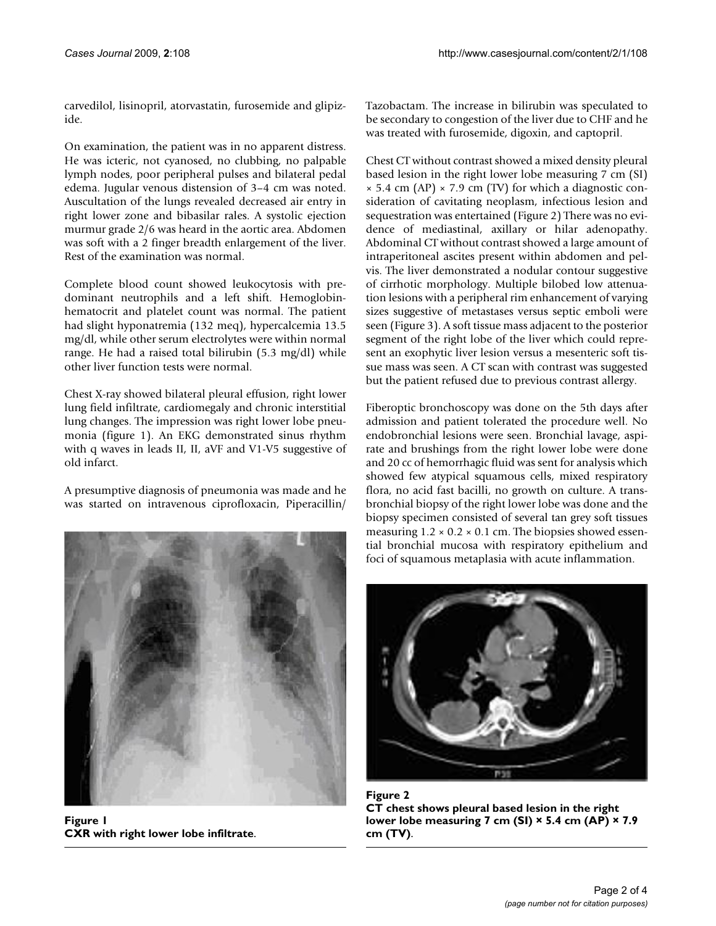carvedilol, lisinopril, atorvastatin, furosemide and glipizide.

On examination, the patient was in no apparent distress. He was icteric, not cyanosed, no clubbing, no palpable lymph nodes, poor peripheral pulses and bilateral pedal edema. Jugular venous distension of 3–4 cm was noted. Auscultation of the lungs revealed decreased air entry in right lower zone and bibasilar rales. A systolic ejection murmur grade 2/6 was heard in the aortic area. Abdomen was soft with a 2 finger breadth enlargement of the liver. Rest of the examination was normal.

Complete blood count showed leukocytosis with predominant neutrophils and a left shift. Hemoglobinhematocrit and platelet count was normal. The patient had slight hyponatremia (132 meq), hypercalcemia 13.5 mg/dl, while other serum electrolytes were within normal range. He had a raised total bilirubin (5.3 mg/dl) while other liver function tests were normal.

Chest X-ray showed bilateral pleural effusion, right lower lung field infiltrate, cardiomegaly and chronic interstitial lung changes. The impression was right lower lobe pneumonia (figure 1). An EKG demonstrated sinus rhythm with q waves in leads II, II, aVF and V1-V5 suggestive of old infarct.

A presumptive diagnosis of pneumonia was made and he was started on intravenous ciprofloxacin, Piperacillin/



**Figure 1 CXR with right lower lobe infiltrate**.

Tazobactam. The increase in bilirubin was speculated to be secondary to congestion of the liver due to CHF and he was treated with furosemide, digoxin, and captopril.

Chest CT without contrast showed a mixed density pleural based lesion in the right lower lobe measuring 7 cm (SI)  $\times$  5.4 cm (AP)  $\times$  7.9 cm (TV) for which a diagnostic consideration of cavitating neoplasm, infectious lesion and sequestration was entertained (Figure 2) There was no evidence of mediastinal, axillary or hilar adenopathy. Abdominal CT without contrast showed a large amount of intraperitoneal ascites present within abdomen and pelvis. The liver demonstrated a nodular contour suggestive of cirrhotic morphology. Multiple bilobed low attenuation lesions with a peripheral rim enhancement of varying sizes suggestive of metastases versus septic emboli were seen (Figure 3). A soft tissue mass adjacent to the posterior segment of the right lobe of the liver which could represent an exophytic liver lesion versus a mesenteric soft tissue mass was seen. A CT scan with contrast was suggested but the patient refused due to previous contrast allergy.

Fiberoptic bronchoscopy was done on the 5th days after admission and patient tolerated the procedure well. No endobronchial lesions were seen. Bronchial lavage, aspirate and brushings from the right lower lobe were done and 20 cc of hemorrhagic fluid was sent for analysis which showed few atypical squamous cells, mixed respiratory flora, no acid fast bacilli, no growth on culture. A transbronchial biopsy of the right lower lobe was done and the biopsy specimen consisted of several tan grey soft tissues measuring  $1.2 \times 0.2 \times 0.1$  cm. The biopsies showed essential bronchial mucosa with respiratory epithelium and foci of squamous metaplasia with acute inflammation.



Figure 2 **CT chest shows pleural based lesion in the right lower lobe measuring 7 cm (SI) × 5.4 cm (AP) × 7.9 cm (TV)**.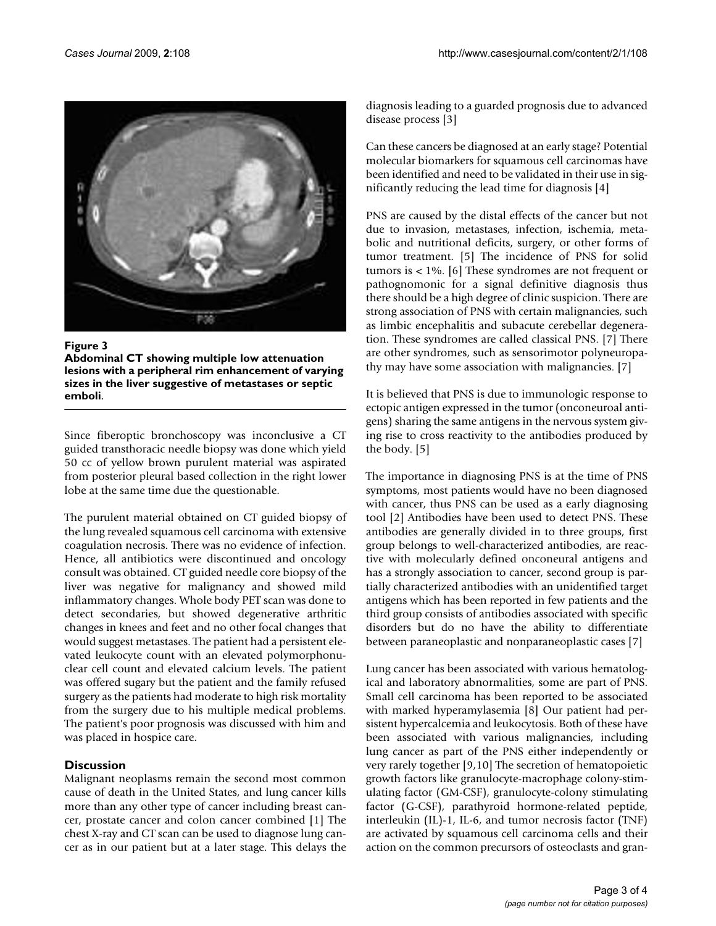

Figure 3 **Abdominal CT showing multiple low attenuation lesions with a peripheral rim enhancement of varying sizes in the liver suggestive of metastases or septic emboli**.

Since fiberoptic bronchoscopy was inconclusive a CT guided transthoracic needle biopsy was done which yield 50 cc of yellow brown purulent material was aspirated from posterior pleural based collection in the right lower lobe at the same time due the questionable.

The purulent material obtained on CT guided biopsy of the lung revealed squamous cell carcinoma with extensive coagulation necrosis. There was no evidence of infection. Hence, all antibiotics were discontinued and oncology consult was obtained. CT guided needle core biopsy of the liver was negative for malignancy and showed mild inflammatory changes. Whole body PET scan was done to detect secondaries, but showed degenerative arthritic changes in knees and feet and no other focal changes that would suggest metastases. The patient had a persistent elevated leukocyte count with an elevated polymorphonuclear cell count and elevated calcium levels. The patient was offered sugary but the patient and the family refused surgery as the patients had moderate to high risk mortality from the surgery due to his multiple medical problems. The patient's poor prognosis was discussed with him and was placed in hospice care.

### **Discussion**

Malignant neoplasms remain the second most common cause of death in the United States, and lung cancer kills more than any other type of cancer including breast cancer, prostate cancer and colon cancer combined [1] The chest X-ray and CT scan can be used to diagnose lung cancer as in our patient but at a later stage. This delays the diagnosis leading to a guarded prognosis due to advanced disease process [3]

Can these cancers be diagnosed at an early stage? Potential molecular biomarkers for squamous cell carcinomas have been identified and need to be validated in their use in significantly reducing the lead time for diagnosis [4]

PNS are caused by the distal effects of the cancer but not due to invasion, metastases, infection, ischemia, metabolic and nutritional deficits, surgery, or other forms of tumor treatment. [5] The incidence of PNS for solid tumors is < 1%. [6] These syndromes are not frequent or pathognomonic for a signal definitive diagnosis thus there should be a high degree of clinic suspicion. There are strong association of PNS with certain malignancies, such as limbic encephalitis and subacute cerebellar degeneration. These syndromes are called classical PNS. [7] There are other syndromes, such as sensorimotor polyneuropathy may have some association with malignancies. [7]

It is believed that PNS is due to immunologic response to ectopic antigen expressed in the tumor (onconeuroal antigens) sharing the same antigens in the nervous system giving rise to cross reactivity to the antibodies produced by the body. [5]

The importance in diagnosing PNS is at the time of PNS symptoms, most patients would have no been diagnosed with cancer, thus PNS can be used as a early diagnosing tool [2] Antibodies have been used to detect PNS. These antibodies are generally divided in to three groups, first group belongs to well-characterized antibodies, are reactive with molecularly defined onconeural antigens and has a strongly association to cancer, second group is partially characterized antibodies with an unidentified target antigens which has been reported in few patients and the third group consists of antibodies associated with specific disorders but do no have the ability to differentiate between paraneoplastic and nonparaneoplastic cases [7]

Lung cancer has been associated with various hematological and laboratory abnormalities, some are part of PNS. Small cell carcinoma has been reported to be associated with marked hyperamylasemia [8] Our patient had persistent hypercalcemia and leukocytosis. Both of these have been associated with various malignancies, including lung cancer as part of the PNS either independently or very rarely together [9,10] The secretion of hematopoietic growth factors like granulocyte-macrophage colony-stimulating factor (GM-CSF), granulocyte-colony stimulating factor (G-CSF), parathyroid hormone-related peptide, interleukin (IL)-1, IL-6, and tumor necrosis factor (TNF) are activated by squamous cell carcinoma cells and their action on the common precursors of osteoclasts and gran